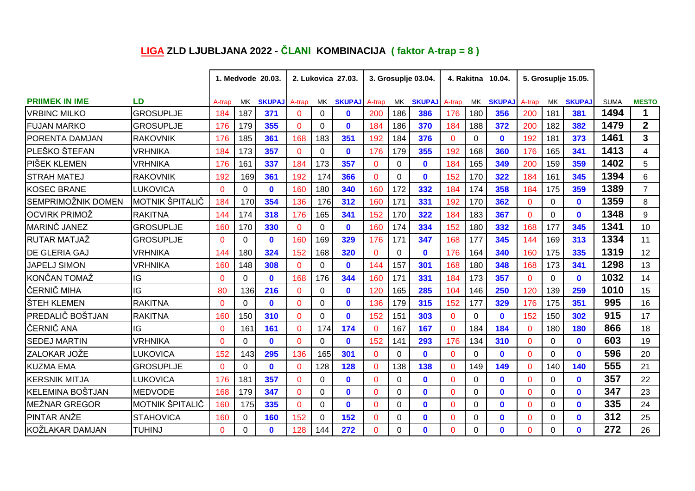## **LIGA ZLD LJUBLJANA 2022 - ČLANI KOMBINACIJA ( faktor A-trap = 8 )**

|                         |                        | 1. Medvode 20.03. |          |               | 2. Lukovica 27.03. |          |               | 3. Grosuplje 03.04. |     |               | 4. Rakitna 10.04. |          |               |              |          | 5. Grosuplje 15.05. |             |                |
|-------------------------|------------------------|-------------------|----------|---------------|--------------------|----------|---------------|---------------------|-----|---------------|-------------------|----------|---------------|--------------|----------|---------------------|-------------|----------------|
| <b>PRIIMEK IN IME</b>   | LD                     | A-trap            | MK.      | <b>SKUPAJ</b> | A-trap             | MK       | <b>SKUPAJ</b> | A-trap              | MK. | <b>SKUPAJ</b> | A-trap            | МK       | <b>SKUPAJ</b> | A-trap       | MK.      | <b>SKUPAJ</b>       | <b>SUMA</b> | <b>MESTO</b>   |
| <b>VRBINC MILKO</b>     | <b>GROSUPLJE</b>       | 184               | 187      | 371           | $\Omega$           | $\Omega$ | $\mathbf{0}$  | 200                 | 186 | 386           | 176               | 180      | 356           | 200          | 181      | 381                 | 1494        | 1              |
| <b>FUJAN MARKO</b>      | <b>GROSUPLJE</b>       | 176               | 179      | 355           | $\Omega$           | 0        | $\mathbf{0}$  | 184                 | 186 | 370           | 184               | 188      | 372           | 200          | 182      | 382                 | 1479        | $\overline{2}$ |
| <b>PORENTA DAMJAN</b>   | <b>RAKOVNIK</b>        | 176               | 185      | 361           | 168                | 183      | 351           | 192                 | 184 | 376           | $\mathbf 0$       | 0        | $\mathbf 0$   | 192          | 181      | 373                 | 1461        | $\overline{3}$ |
| <b>PLEŠKO ŠTEFAN</b>    | <b>VRHNIKA</b>         | 184               | 173      | 357           | $\Omega$           | $\Omega$ | $\mathbf{0}$  | 176                 | 179 | 355           | 192               | 168      | 360           | 176          | 165      | 341                 | 1413        | 4              |
| PIŠEK KLEMEN            | VRHNIKA                | 176               | 161      | 337           | 184                | 173      | 357           | $\Omega$            | 0   | $\mathbf{0}$  | 184               | 165      | 349           | 200          | 159      | 359                 | 1402        | 5              |
| <b>STRAH MATEJ</b>      | <b>RAKOVNIK</b>        | 192               | 169      | 361           | 192                | 174      | 366           | $\Omega$            | 0   | $\mathbf{0}$  | 152               | 170      | 322           | 184          | 161      | 345                 | 1394        | 6              |
| <b>KOSEC BRANE</b>      | LUKOVICA               | $\Omega$          | 0        | $\mathbf{0}$  | 160                | 180      | 340           | 160                 | 172 | 332           | 184               | 174      | 358           | 184          | 175      | 359                 | 1389        | $\overline{7}$ |
| SEMPRIMOŽNIK DOMEN      | <b>MOTNIK ŠPITALIČ</b> | 184               | 170      | 354           | 136                | 176      | 312           | 160                 | 171 | 331           | 192               | 170      | 362           | $\mathbf{0}$ | $\Omega$ | $\mathbf{0}$        | 1359        | 8              |
| OCVIRK PRIMOŽ           | <b>RAKITNA</b>         | 144               | 174      | 318           | 176                | 165      | 341           | 152                 | 170 | 322           | 184               | 183      | 367           | $\mathbf{0}$ | 0        | $\mathbf 0$         | 1348        | 9              |
| <b>MARINČ JANEZ</b>     | <b>GROSUPLJE</b>       | 160               | 170      | 330           | $\mathbf 0$        | 0        | $\mathbf{0}$  | 160                 | 174 | 334           | 152               | 180      | 332           | 168          | 177      | 345                 | 1341        | 10             |
| <b>RUTAR MATJAŽ</b>     | <b>GROSUPLJE</b>       | $\Omega$          | $\Omega$ | $\mathbf{0}$  | 160                | 169      | 329           | 176                 | 171 | 347           | 168               | 177      | 345           | 144          | 169      | 313                 | 1334        | 11             |
| <b>DE GLERIA GAJ</b>    | VRHNIKA                | 144               | 180      | 324           | 152                | 168      | 320           | $\Omega$            | 0   | $\mathbf{0}$  | 176               | 164      | 340           | 160          | 175      | 335                 | 1319        | 12             |
| <b>JAPELJ SIMON</b>     | <b>VRHNIKA</b>         | 160               | 148      | 308           | $\Omega$           | $\Omega$ | $\mathbf{0}$  | 144                 | 157 | 301           | 168               | 180      | 348           | 168          | 173      | 341                 | 1298        | 13             |
| KONČAN TOMAŽ            | IG                     | $\Omega$          | $\Omega$ | $\mathbf{0}$  | 168                | 176      | 344           | 160                 | 171 | 331           | 184               | 173      | 357           | $\mathbf{0}$ | $\Omega$ | $\mathbf{0}$        | 1032        | 14             |
| ČERNIČ MIHA             | IG                     | 80                | 136      | 216           | $\mathbf{0}$       | $\Omega$ | $\mathbf{0}$  | 120                 | 165 | 285           | 104               | 146      | 250           | 120          | 139      | 259                 | 1010        | 15             |
| ŠTEH KLEMEN             | <b>RAKITNA</b>         | $\Omega$          | $\Omega$ | $\mathbf{0}$  | $\Omega$           | $\Omega$ | $\mathbf{0}$  | 136                 | 179 | 315           | 152               | 177      | 329           | 176          | 175      | 351                 | 995         | 16             |
| <b>PREDALIČ BOŠTJAN</b> | <b>RAKITNA</b>         | 160               | 150      | 310           | $\mathbf{0}$       | $\Omega$ | $\mathbf{0}$  | 152                 | 151 | 303           | $\Omega$          | 0        | $\mathbf{0}$  | 152          | 150      | 302                 | 915         | 17             |
| ČERNIČ ANA              | IG                     | $\Omega$          | 161      | 161           | $\overline{0}$     | 174      | 174           | $\overline{0}$      | 167 | 167           | $\mathbf{0}$      | 184      | 184           | $\mathbf{0}$ | 180      | 180                 | 866         | 18             |
| <b>SEDEJ MARTIN</b>     | VRHNIKA                | $\Omega$          | 0        | $\mathbf{0}$  | $\Omega$           | 0        | $\mathbf{0}$  | 152                 | 141 | 293           | 176               | 134      | 310           | $\mathbf{0}$ | 0        | $\mathbf{0}$        | 603         | 19             |
| ZALOKAR JOŽE            | LUKOVICA               | 152               | 143      | 295           | 136                | 165      | 301           | $\Omega$            | 0   | $\mathbf{0}$  | $\mathbf{0}$      | $\Omega$ | $\mathbf{0}$  | $\Omega$     | 0        | $\mathbf{0}$        | 596         | 20             |
| <b>KUZMA EMA</b>        | <b>GROSUPLJE</b>       | $\Omega$          | 0        | $\mathbf{0}$  | $\Omega$           | 128      | 128           | $\Omega$            | 138 | 138           | $\mathbf{0}$      | 149      | 149           | $\mathbf{0}$ | 140      | 140                 | 555         | 21             |
| IKERSNIK MITJA          | <b>LUKOVICA</b>        | 176               | 181      | 357           | $\mathbf 0$        | $\Omega$ | $\mathbf{0}$  | $\Omega$            | 0   | $\mathbf{0}$  | $\mathbf 0$       | 0        | $\mathbf{0}$  | $\mathbf{0}$ | 0        | $\mathbf 0$         | 357         | 22             |
| KELEMINA BOŠTJAN        | <b>MEDVODE</b>         | 168               | 179      | 347           | $\Omega$           | 0        | $\mathbf{0}$  | $\Omega$            | 0   | $\mathbf{0}$  | $\Omega$          | 0        | $\mathbf 0$   | $\mathbf{0}$ | 0        | $\mathbf 0$         | 347         | 23             |
| <b>MEŽNAR GREGOR</b>    | MOTNIK ŠPITALIČ        | 160               | 175      | 335           | $\Omega$           | 0        | $\bf{0}$      | $\Omega$            | 0   | $\mathbf{0}$  | $\Omega$          | $\Omega$ | $\mathbf{0}$  | $\mathbf{0}$ | 0        | $\mathbf{0}$        | 335         | 24             |
| <b>PINTAR ANŽE</b>      | <b>STAHOVICA</b>       | 160               | 0        | 160           | 152                | $\Omega$ | 152           | $\Omega$            | 0   | $\mathbf{0}$  | $\Omega$          | $\Omega$ | $\mathbf{0}$  | $\Omega$     | 0        | $\mathbf{0}$        | 312         | 25             |
| KOŽLAKAR DAMJAN         | TUHINJ                 | $\Omega$          | 0        | $\mathbf{0}$  | 128                | 144      | 272           | $\Omega$            | 0   | $\mathbf{0}$  | $\Omega$          | 0        | $\mathbf{0}$  | $\Omega$     | 0        | $\bf{0}$            | 272         | 26             |